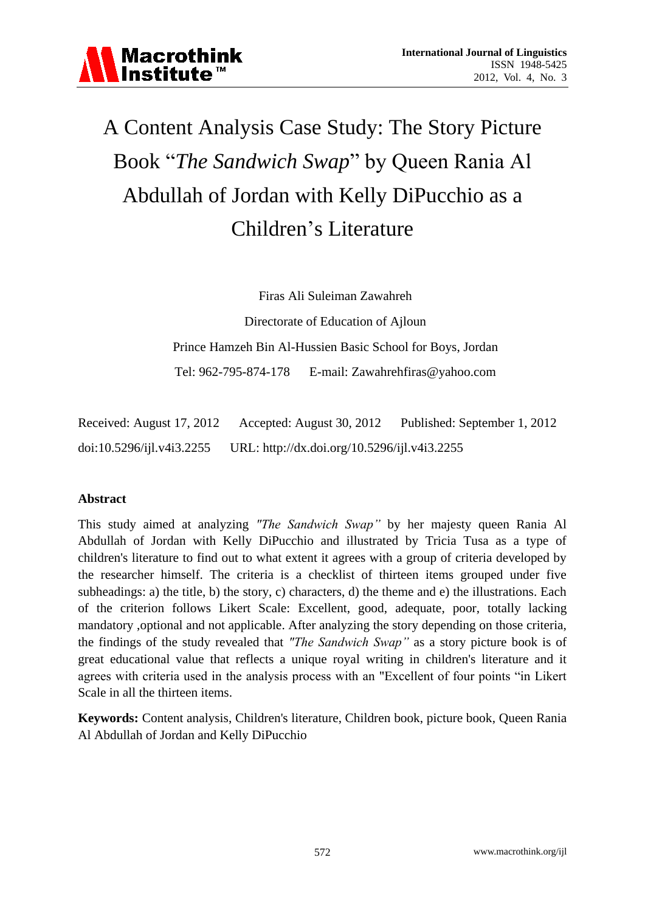# A Content Analysis Case Study: The Story Picture Book "*The Sandwich Swap*" by Queen Rania Al Abdullah of Jordan with Kelly DiPucchio as a Children's Literature

Firas Ali Suleiman Zawahreh

Directorate of Education of Ajloun Prince Hamzeh Bin Al-Hussien Basic School for Boys, Jordan Tel: 962-795-874-178 E-mail: Zawahrehfiras@yahoo.com

Received: August 17, 2012 Accepted: August 30, 2012 Published: September 1, 2012 doi:10.5296/ijl.v4i3.2255 URL: http://dx.doi.org/10.5296/ijl.v4i3.2255

## **Abstract**

This study aimed at analyzing *"The Sandwich Swap"* by her majesty queen Rania Al Abdullah of Jordan with Kelly DiPucchio and illustrated by Tricia Tusa as a type of children's literature to find out to what extent it agrees with a group of criteria developed by the researcher himself. The criteria is a checklist of thirteen items grouped under five subheadings: a) the title, b) the story, c) characters, d) the theme and e) the illustrations. Each of the criterion follows Likert Scale: Excellent, good, adequate, poor, totally lacking mandatory ,optional and not applicable. After analyzing the story depending on those criteria, the findings of the study revealed that *"The Sandwich Swap"* as a story picture book is of great educational value that reflects a unique royal writing in children's literature and it agrees with criteria used in the analysis process with an "Excellent of four points "in Likert Scale in all the thirteen items.

**Keywords:** Content analysis, Children's literature, Children book, picture book, Queen Rania Al Abdullah of Jordan and Kelly DiPucchio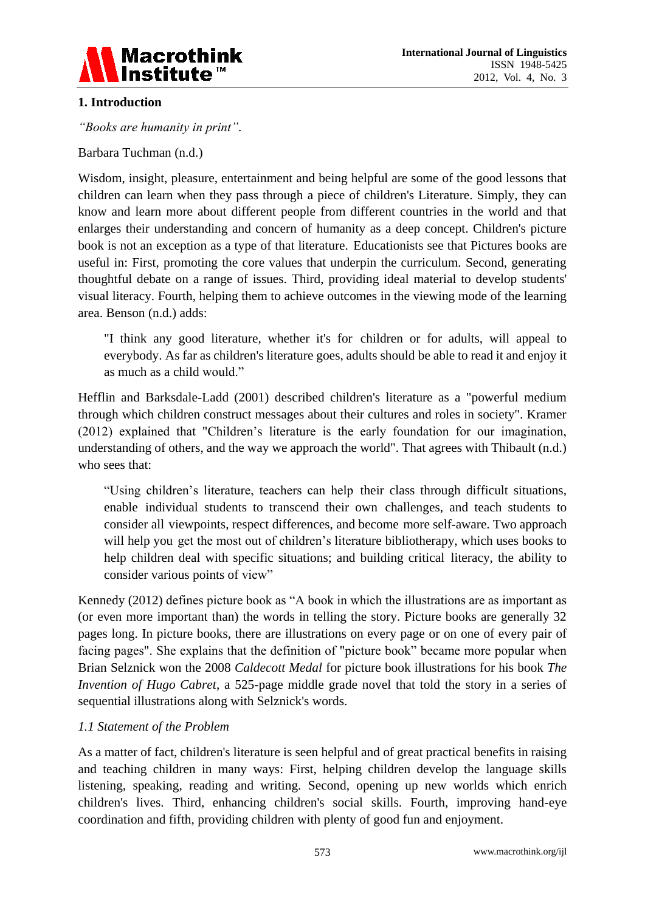

# **1. Introduction**

*"Books are humanity in print"*.

Barbara Tuchman (n.d.)

Wisdom, insight, pleasure, entertainment and being helpful are some of the good lessons that children can learn when they pass through a piece of children's Literature. Simply, they can know and learn more about different people from different countries in the world and that enlarges their understanding and concern of humanity as a deep concept. Children's picture book is not an exception as a type of that literature. Educationists see that Pictures books are useful in: First, promoting the core values that underpin the curriculum. Second, generating thoughtful debate on a range of issues. Third, providing ideal material to develop students' visual literacy. Fourth, helping them to achieve outcomes in the viewing mode of the learning area. Benson (n.d.) adds:

"I think any good literature, whether it's for children or for adults, will appeal to everybody. As far as children's literature goes, adults should be able to read it and enjoy it as much as a child would."

Hefflin and Barksdale-Ladd (2001) described children's literature as a "powerful medium through which children construct messages about their cultures and roles in society". Kramer (2012) explained that "Children's literature is the early foundation for our imagination, understanding of others, and the way we approach the world". That agrees with Thibault (n.d.) who sees that:

"Using children's literature, teachers can help their class through difficult situations, enable individual students to transcend their own challenges, and teach students to consider all viewpoints, respect differences, and become more self-aware. Two approach will help you get the most out of children's literature bibliotherapy, which uses books to help children deal with specific situations; and building critical literacy, the ability to consider various points of view"

[Kennedy](http://childrensbooks.about.com/bio/Elizabeth-Kennedy-5394.htm) (2012) defines picture book as "A book in which the illustrations are as important as (or even more important than) the words in telling the story. Picture books are generally 32 pages long. In picture books, there are illustrations on every page or on one of every pair of facing pages". She explains that the definition of "picture book" became more popular when Brian Selznick won the 2008 *[Caldecott Medal](http://childrensbooks.about.com/od/awardwinners/a/2008-Caldecott.htm)* for picture book illustrations for his book *[The](http://childrensbooks.about.com/od/middleschool/fr/hugo_cabret.htm)  [Invention of Hugo Cabret](http://childrensbooks.about.com/od/middleschool/fr/hugo_cabret.htm)*, a 525-page middle grade novel that told the story in a series of sequential illustrations along with Selznick's words.

## *1.1 Statement of the Problem*

As a matter of fact, children's literature is seen helpful and of great practical benefits in raising and teaching children in many ways: First, helping children develop the language skills listening, speaking, reading and writing. Second, opening up new worlds which enrich children's lives. Third, enhancing children's social skills. Fourth, improving hand-eye coordination and fifth, providing children with plenty of good fun and enjoyment.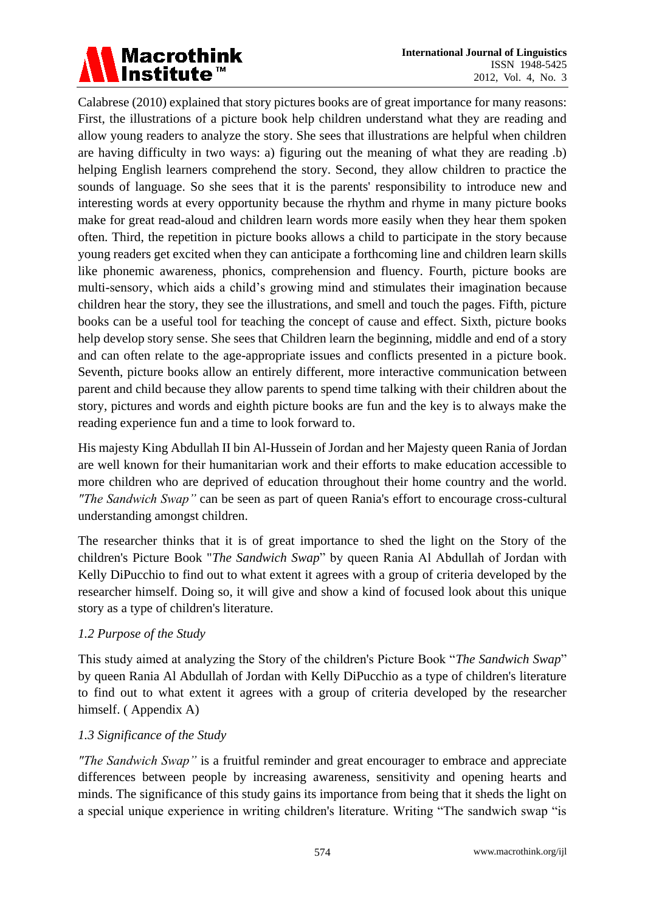

Calabrese (2010) explained that story pictures books are of great importance for many reasons: First, the illustrations of a picture book help children understand what they are reading and allow young readers to analyze the story. She sees that illustrations are helpful when children are having difficulty in two ways: a) figuring out the meaning of what they are reading .b) helping English learners comprehend the story. Second, they allow children to practice the sounds of language. So she sees that it is the parents' responsibility to introduce new and interesting words at every opportunity because the rhythm and rhyme in many picture books make for great read-aloud and children learn words more easily when they hear them spoken often. Third, the repetition in picture books allows a child to participate in the story because young readers get excited when they can anticipate a forthcoming line and children learn skills like phonemic awareness, phonics, comprehension and fluency. Fourth, picture books are multi-sensory, which aids a child's growing mind and stimulates their imagination because children hear the story, they see the illustrations, and smell and touch the pages. Fifth, picture books can be a useful tool for teaching the concept of cause and effect. Sixth, picture books help develop story sense. She sees that Children learn the beginning, middle and end of a story and can often relate to the age-appropriate issues and conflicts presented in a picture book. Seventh, picture books allow an entirely different, more interactive communication between parent and child because they allow parents to spend time talking with their children about the story, pictures and words and eighth picture books are fun and the key is to always make the reading experience fun and a time to look forward to.

His majesty King Abdullah II bin Al-Hussein of Jordan and her Majesty queen Rania of Jordan are well known for their humanitarian work and their efforts to make education accessible to more children who are deprived of education throughout their home country and the world. *"The Sandwich Swap"* can be seen as part of queen Rania's effort to encourage cross-cultural understanding amongst children.

The researcher thinks that it is of great importance to shed the light on the Story of the children's Picture Book "*The Sandwich Swap*" by queen Rania Al Abdullah of Jordan with Kelly DiPucchio to find out to what extent it agrees with a group of criteria developed by the researcher himself. Doing so, it will give and show a kind of focused look about this unique story as a type of children's literature.

## *1.2 Purpose of the Study*

This study aimed at analyzing the Story of the children's Picture Book "*The Sandwich Swap*" by queen Rania Al Abdullah of Jordan with Kelly DiPucchio as a type of children's literature to find out to what extent it agrees with a group of criteria developed by the researcher himself. ( Appendix A)

## *1.3 Significance of the Study*

*"The Sandwich Swap"* is a fruitful reminder and great encourager to embrace and appreciate differences between people by increasing awareness, sensitivity and opening hearts and minds. The significance of this study gains its importance from being that it sheds the light on a special unique experience in writing children's literature. Writing "The sandwich swap "is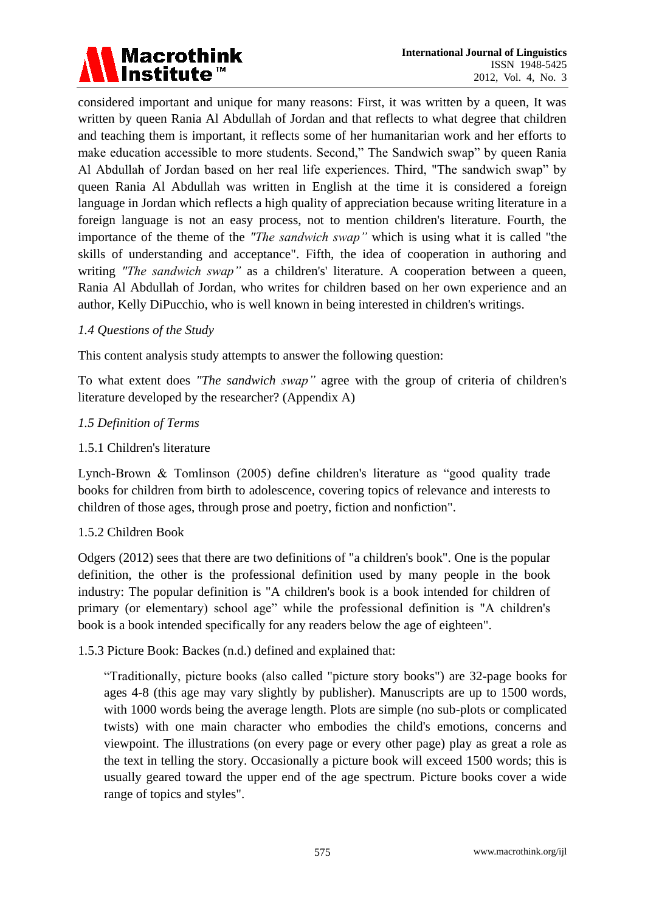

considered important and unique for many reasons: First, it was written by a queen, It was written by queen Rania Al Abdullah of Jordan and that reflects to what degree that children and teaching them is important, it reflects some of her humanitarian work and her efforts to make education accessible to more students. Second," The Sandwich swap" by queen Rania Al Abdullah of Jordan based on her real life experiences. Third, "The sandwich swap" by queen Rania Al Abdullah was written in English at the time it is considered a foreign language in Jordan which reflects a high quality of appreciation because writing literature in a foreign language is not an easy process, not to mention children's literature. Fourth, the importance of the theme of the *"The sandwich swap"* which is using what it is called "the skills of understanding and acceptance". Fifth, the idea of cooperation in authoring and writing *"The sandwich swap"* as a children's' literature. A cooperation between a queen, Rania Al Abdullah of Jordan, who writes for children based on her own experience and an author, Kelly DiPucchio, who is well known in being interested in children's writings.

#### *1.4 Questions of the Study*

This content analysis study attempts to answer the following question:

To what extent does *"The sandwich swap"* agree with the group of criteria of children's literature developed by the researcher? (Appendix A)

#### *1.5 Definition of Terms*

#### 1.5.1 Children's literature

Lynch-Brown & Tomlinson (2005) define children's literature as "good quality trade books for children from birth to adolescence, covering topics of relevance and interests to children of those ages, through prose and poetry, fiction and nonfiction".

#### 1.5.2 Children Book

[Odgers](http://suite101.com/profile.cfm/Sallyodgers) (2012) sees that there are two definitions of "a children's book". One is the popular definition, the other is the professional definition used by many people in the book industry: The popular definition is "A children's book is a book intended for children of primary (or elementary) school age" while the professional definition is "A children's book is a book intended specifically for any readers below the age of eighteen".

#### 1.5.3 Picture Book: Backes (n.d.) defined and explained that:

"Traditionally, picture books (also called "picture story books") are 32-page books for ages 4-8 (this age may vary slightly by publisher). Manuscripts are up to 1500 words, with 1000 words being the average length. Plots are simple (no sub-plots or complicated twists) with one main character who embodies the child's emotions, concerns and viewpoint. The illustrations (on every page or every other page) play as great a role as the text in telling the story. Occasionally a picture book will exceed 1500 words; this is usually geared toward the upper end of the age spectrum. Picture books cover a wide range of topics and styles".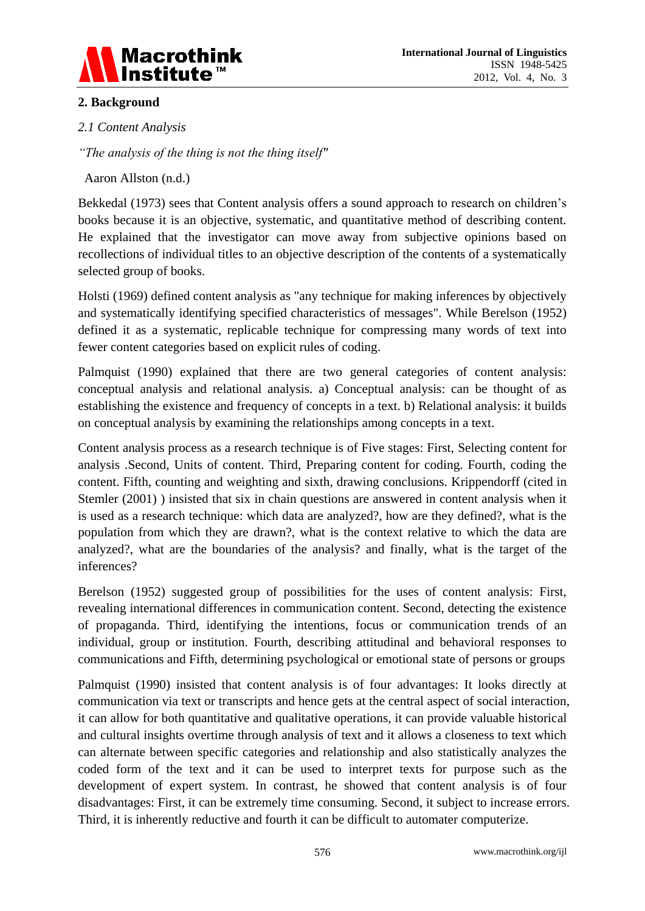

# **2. Background**

# *2.1 Content Analysis*

*"The analysis of the thing is not the thing itself"*

Aaron Allston (n.d.)

Bekkedal (1973) sees that Content analysis offers a sound approach to research on children's books because it is an objective, systematic, and quantitative method of describing content. He explained that the investigator can move away from subjective opinions based on recollections of individual titles to an objective description of the contents of a systematically selected group of books.

Holsti (1969) defined content analysis as "any technique for making inferences by objectively and systematically identifying specified characteristics of messages". While Berelson (1952) defined it as a systematic, replicable technique for compressing many words of text into fewer content categories based on explicit rules of coding.

Palmquist (1990) explained that there are two general categories of content analysis: conceptual analysis and relational analysis. a) Conceptual analysis: can be thought of as establishing the existence and frequency of concepts in a text. b) Relational analysis: it builds on conceptual analysis by examining the relationships among concepts in a text.

Content analysis process as a research technique is of Five stages: First, [Selecting content for](http://www.audiencedialogue.net/kya16a.html#s2)  [analysis .](http://www.audiencedialogue.net/kya16a.html#s2)Second, Units of content. Third, [Preparing content for coding. Fourth, coding the](http://www.audiencedialogue.net/kya16b.html#s4)  [content. Fifth, counting and weighting and sixth, drawing conclusions. K](http://www.audiencedialogue.net/kya16b.html#s4)rippendorff (cited in Stemler (2001) ) insisted that six in chain questions are answered in content analysis when it is used as a research technique: which data are analyzed?, how are they defined?, what is the population from which they are drawn?, what is the context relative to which the data are analyzed?, what are the boundaries of the analysis? and finally, what is the target of the inferences?

Berelson (1952) suggested group of possibilities for the uses of content analysis: First, revealing international differences in communication content. Second, detecting the existence of propaganda. Third, identifying the intentions, focus or communication trends of an individual, group or institution. Fourth, describing attitudinal and behavioral responses to communications and Fifth, determining psychological or emotional state of persons or groups

Palmquist (1990) insisted that content analysis is of four advantages: It looks directly at communication via text or transcripts and hence gets at the central aspect of social interaction, it can allow for both quantitative and qualitative operations, it can provide valuable historical and cultural insights overtime through analysis of text and it allows a closeness to text which can alternate between specific categories and relationship and also statistically analyzes the coded form of the text and it can be used to interpret texts for purpose such as the development of expert system. In contrast, he showed that content analysis is of four disadvantages: First, it can be extremely time consuming. Second, it subject to increase errors. Third, it is inherently reductive and fourth it can be difficult to automater computerize.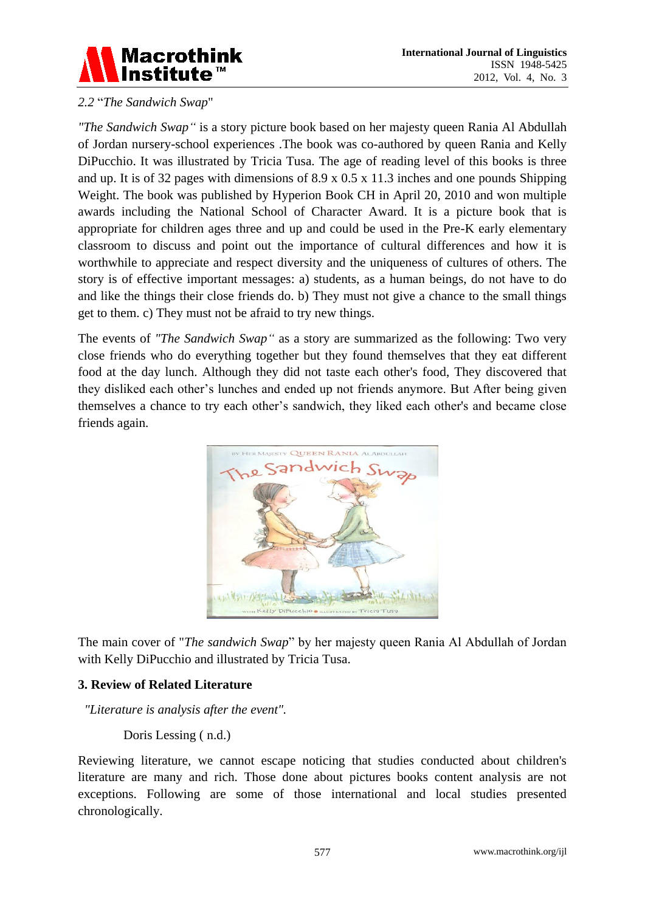

# *2.2* "*The Sandwich Swap*"

*["The Sandwich Swap"](http://en.wikipedia.org/w/index.php?title=The_Sandwich_Swap&action=edit&redlink=1)* is a story picture book based on her majesty queen Rania Al Abdullah of Jordan nursery-school experiences .The book was co-authored by queen Rania and Kelly DiPucchio. It was illustrated by Tricia Tusa. The age of reading level of this books is three and up. It is of 32 pages with dimensions of 8.9 x 0.5 x 11.3 inches and one pounds Shipping Weight. The book was published by Hyperion Book CH in April 20, 2010 and won multiple awards including the National School of Character Award. It is a picture book that is appropriate for children ages three and up and could be used in the Pre-K early elementary classroom to discuss and point out the importance of cultural differences and how it is worthwhile to appreciate and respect diversity and the uniqueness of cultures of others. The story is of effective important messages: a) students, as a human beings, do not have to do and like the things their close friends do. b) They must not give a chance to the small things get to them. c) They must not be afraid to try new things.

The events of *["The Sandwich Swap"](http://en.wikipedia.org/w/index.php?title=The_Sandwich_Swap&action=edit&redlink=1)* as a story are summarized as the following: Two very close friends who do everything together but they found themselves that they eat different food at the day lunch. Although they did not taste each other's food, They discovered that they disliked each other's lunches and ended up not friends anymore. But After being given themselves a chance to try each other's sandwich, they liked each other's and became close friends again.



The main cover of "*The sandwich Swap*" by her majesty queen Rania Al Abdullah of Jordan with Kelly DiPucchio and illustrated by Tricia Tusa.

## **3. Review of Related Literature**

*"Literature is analysis after the event".*

Doris Lessing ( n.d.)

Reviewing literature, we cannot escape noticing that studies conducted about children's literature are many and rich. Those done about pictures books content analysis are not exceptions. Following are some of those international and local studies presented chronologically.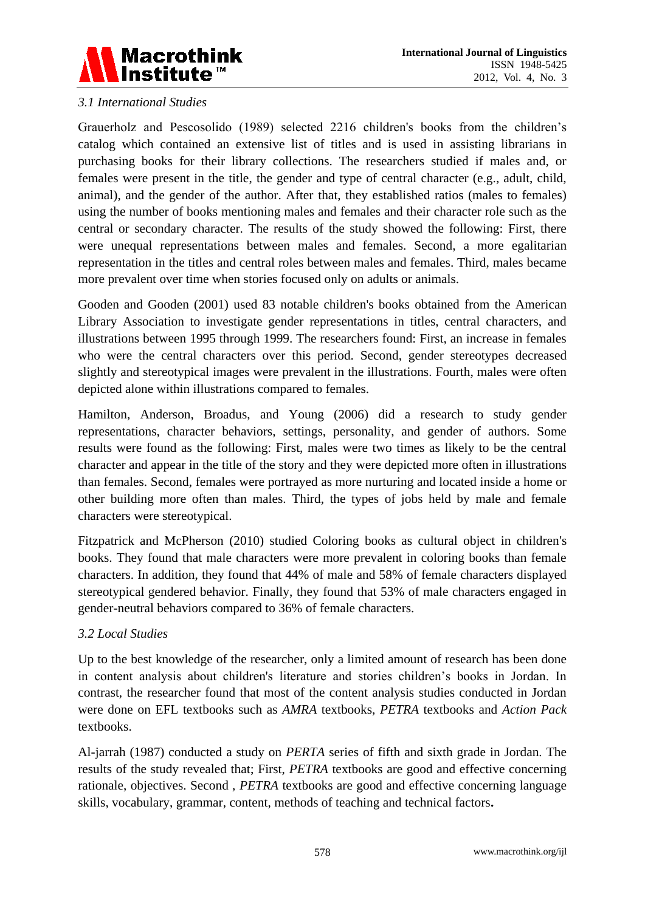

# *3.1 International Studies*

Grauerholz and Pescosolido (1989) selected 2216 children's books from the children's catalog which contained an extensive list of titles and is used in assisting librarians in purchasing books for their library collections. The researchers studied if males and, or females were present in the title, the gender and type of central character (e.g., adult, child, animal), and the gender of the author. After that, they established ratios (males to females) using the number of books mentioning males and females and their character role such as the central or secondary character. The results of the study showed the following: First, there were unequal representations between males and females. Second, a more egalitarian representation in the titles and central roles between males and females. Third, males became more prevalent over time when stories focused only on adults or animals.

Gooden and Gooden (2001) used 83 notable children's books obtained from the American Library Association to investigate gender representations in titles, central characters, and illustrations between 1995 through 1999. The researchers found: First, an increase in females who were the central characters over this period. Second, gender stereotypes decreased slightly and stereotypical images were prevalent in the illustrations. Fourth, males were often depicted alone within illustrations compared to females.

Hamilton, Anderson, Broadus, and Young (2006) did a research to study gender representations, character behaviors, settings, personality, and gender of authors. Some results were found as the following: First, males were two times as likely to be the central character and appear in the title of the story and they were depicted more often in illustrations than females. Second, females were portrayed as more nurturing and located inside a home or other building more often than males. Third, the types of jobs held by male and female characters were stereotypical.

Fitzpatrick and McPherson (2010) studied Coloring books as cultural object in children's books. They found that male characters were more prevalent in coloring books than female characters. In addition, they found that 44% of male and 58% of female characters displayed stereotypical gendered behavior. Finally, they found that 53% of male characters engaged in gender-neutral behaviors compared to 36% of female characters.

## *3.2 Local Studies*

Up to the best knowledge of the researcher, only a limited amount of research has been done in content analysis about children's literature and stories children's books in Jordan. In contrast, the researcher found that most of the content analysis studies conducted in Jordan were done on EFL textbooks such as *AMRA* textbooks, *PETRA* textbooks and *Action Pack* textbooks.

Al-jarrah (1987) conducted a study on *PERTA* series of fifth and sixth grade in Jordan. The results of the study revealed that; First, *PETRA* textbooks are good and effective concerning rationale, objectives. Second , *PETRA* textbooks are good and effective concerning language skills, vocabulary, grammar, content, methods of teaching and technical factors**.**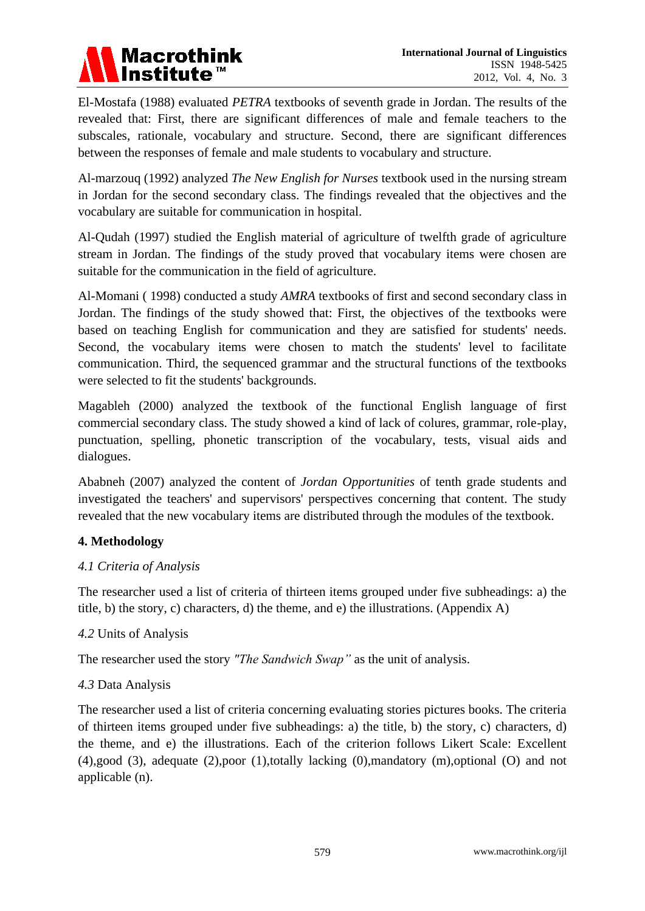

El-Mostafa (1988) evaluated *PETRA* textbooks of seventh grade in Jordan. The results of the revealed that: First, there are significant differences of male and female teachers to the subscales, rationale, vocabulary and structure. Second, there are significant differences between the responses of female and male students to vocabulary and structure.

Al-marzouq (1992) analyzed *The New English for Nurses* textbook used in the nursing stream in Jordan for the second secondary class. The findings revealed that the objectives and the vocabulary are suitable for communication in hospital.

Al-Qudah (1997) studied the English material of agriculture of twelfth grade of agriculture stream in Jordan. The findings of the study proved that vocabulary items were chosen are suitable for the communication in the field of agriculture.

Al-Momani ( 1998) conducted a study *AMRA* textbooks of first and second secondary class in Jordan. The findings of the study showed that: First, the objectives of the textbooks were based on teaching English for communication and they are satisfied for students' needs. Second, the vocabulary items were chosen to match the students' level to facilitate communication. Third, the sequenced grammar and the structural functions of the textbooks were selected to fit the students' backgrounds.

Magableh (2000) analyzed the textbook of the functional English language of first commercial secondary class. The study showed a kind of lack of colures, grammar, role-play, punctuation, spelling, phonetic transcription of the vocabulary, tests, visual aids and dialogues.

Ababneh (2007) analyzed the content of *Jordan Opportunities* of tenth grade students and investigated the teachers' and supervisors' perspectives concerning that content. The study revealed that the new vocabulary items are distributed through the modules of the textbook.

# **4. Methodology**

## *4.1 Criteria of Analysis*

The researcher used a list of criteria of thirteen items grouped under five subheadings: a) the title, b) the story, c) characters, d) the theme, and e) the illustrations. (Appendix A)

## *4.2* Units of Analysis

The researcher used the story *"The Sandwich Swap"* as the unit of analysis.

## *4.3* Data Analysis

The researcher used a list of criteria concerning evaluating stories pictures books. The criteria of thirteen items grouped under five subheadings: a) the title, b) the story, c) characters, d) the theme, and e) the illustrations. Each of the criterion follows Likert Scale: Excellent (4),good (3), adequate (2),poor (1),totally lacking (0),mandatory (m),optional (O) and not applicable (n).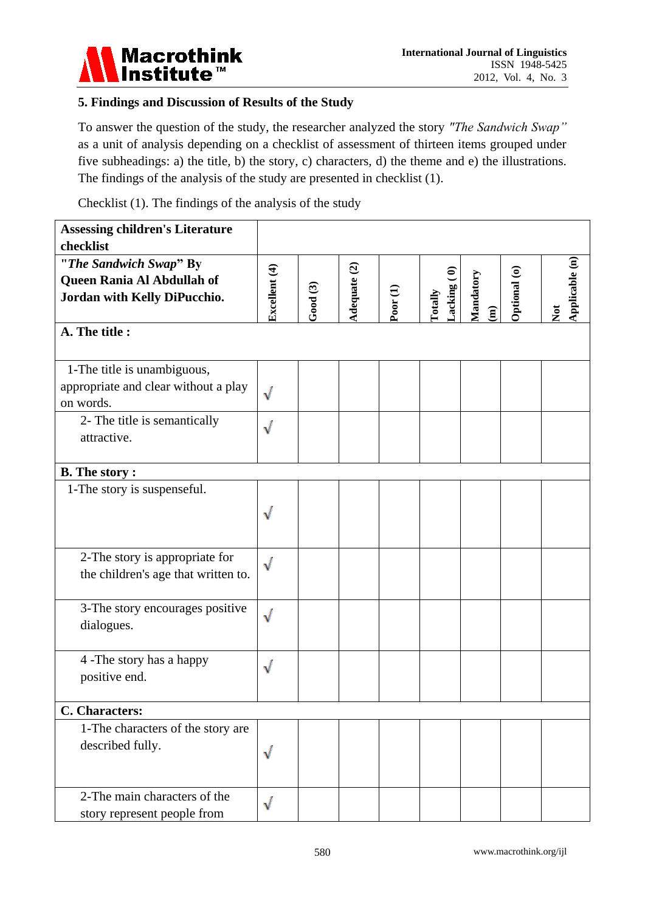

# **5. Findings and Discussion of Results of the Study**

To answer the question of the study, the researcher analyzed the story *"The Sandwich Swap"* as a unit of analysis depending on a checklist of assessment of thirteen items grouped under five subheadings: a) the title, b) the story, c) characters, d) the theme and e) the illustrations. The findings of the analysis of the study are presented in checklist (1).

Checklist (1). The findings of the analysis of the study

| <b>Assessing children's Literature</b> |               |         |              |            |                      |               |              |                  |
|----------------------------------------|---------------|---------|--------------|------------|----------------------|---------------|--------------|------------------|
| checklist                              |               |         |              |            |                      |               |              |                  |
| "The Sandwich Swap" By                 |               |         |              |            |                      |               |              |                  |
| Queen Rania Al Abdullah of             |               |         |              |            |                      |               |              |                  |
| Jordan with Kelly DiPucchio.           | Excellent (4) | Good(3) | Adequate (2) | Poor $(1)$ | Lacking (<br>Totally | Mandatory     | Optional (o) | Applicable (n)   |
|                                        |               |         |              |            |                      | $\widehat{a}$ |              | $\sum_{i=1}^{n}$ |
| A. The title :                         |               |         |              |            |                      |               |              |                  |
| 1-The title is unambiguous,            |               |         |              |            |                      |               |              |                  |
| appropriate and clear without a play   |               |         |              |            |                      |               |              |                  |
| on words.                              |               |         |              |            |                      |               |              |                  |
| 2- The title is semantically           | $\sqrt{}$     |         |              |            |                      |               |              |                  |
| attractive.                            |               |         |              |            |                      |               |              |                  |
|                                        |               |         |              |            |                      |               |              |                  |
| <b>B.</b> The story:                   |               |         |              |            |                      |               |              |                  |
| 1-The story is suspenseful.            |               |         |              |            |                      |               |              |                  |
|                                        | v             |         |              |            |                      |               |              |                  |
|                                        |               |         |              |            |                      |               |              |                  |
|                                        |               |         |              |            |                      |               |              |                  |
| 2-The story is appropriate for         |               |         |              |            |                      |               |              |                  |
| the children's age that written to.    |               |         |              |            |                      |               |              |                  |
|                                        |               |         |              |            |                      |               |              |                  |
| 3-The story encourages positive        | $\sqrt{}$     |         |              |            |                      |               |              |                  |
| dialogues.                             |               |         |              |            |                      |               |              |                  |
|                                        |               |         |              |            |                      |               |              |                  |
| 4 -The story has a happy               | $\sqrt{}$     |         |              |            |                      |               |              |                  |
| positive end.                          |               |         |              |            |                      |               |              |                  |
| C. Characters:                         |               |         |              |            |                      |               |              |                  |
| 1-The characters of the story are      |               |         |              |            |                      |               |              |                  |
| described fully.                       |               |         |              |            |                      |               |              |                  |
|                                        | $\sqrt{}$     |         |              |            |                      |               |              |                  |
|                                        |               |         |              |            |                      |               |              |                  |
| 2-The main characters of the           | $\sqrt{}$     |         |              |            |                      |               |              |                  |
| story represent people from            |               |         |              |            |                      |               |              |                  |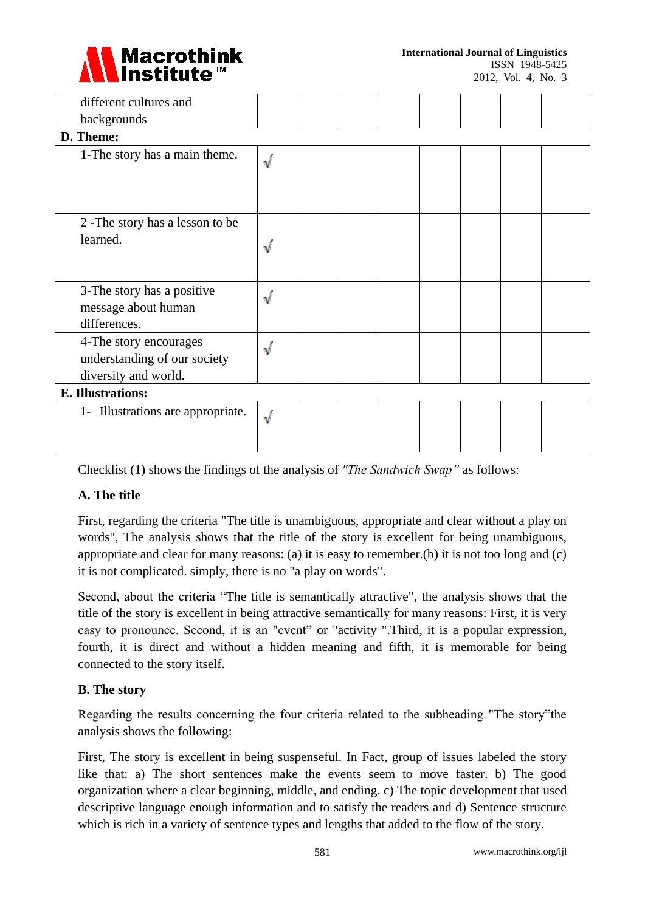

| different cultures and                                                         |  |  |  |  |  |  |  |  |
|--------------------------------------------------------------------------------|--|--|--|--|--|--|--|--|
| backgrounds                                                                    |  |  |  |  |  |  |  |  |
| D. Theme:                                                                      |  |  |  |  |  |  |  |  |
| 1-The story has a main theme.                                                  |  |  |  |  |  |  |  |  |
|                                                                                |  |  |  |  |  |  |  |  |
| 2 - The story has a lesson to be<br>learned.                                   |  |  |  |  |  |  |  |  |
| 3-The story has a positive<br>message about human<br>differences.              |  |  |  |  |  |  |  |  |
| 4-The story encourages<br>understanding of our society<br>diversity and world. |  |  |  |  |  |  |  |  |
| <b>E. Illustrations:</b>                                                       |  |  |  |  |  |  |  |  |
| 1- Illustrations are appropriate.                                              |  |  |  |  |  |  |  |  |

Checklist (1) shows the findings of the analysis of *"The Sandwich Swap"* as follows:

## **A. The title**

First, regarding the criteria "The title is unambiguous, appropriate and clear without a play on words", The analysis shows that the title of the story is excellent for being unambiguous, appropriate and clear for many reasons: (a) it is easy to remember.(b) it is not too long and (c) it is not complicated. simply, there is no "a play on words".

Second, about the criteria "The title is semantically attractive", the analysis shows that the title of the story is excellent in being attractive semantically for many reasons: First, it is very easy to pronounce. Second, it is an "event" or "activity ".Third, it is a popular expression, fourth, it is direct and without a hidden meaning and fifth, it is memorable for being connected to the story itself.

## **B. The story**

Regarding the results concerning the four criteria related to the subheading "The story"the analysis shows the following:

First, The story is excellent in being suspenseful. In Fact, group of issues labeled the story like that: a) The short sentences make the events seem to move faster. b) The good organization where a clear beginning, middle, and ending. c) The topic development that used descriptive language enough information and to satisfy the readers and d) Sentence structure which is rich in a variety of sentence types and lengths that added to the flow of the story.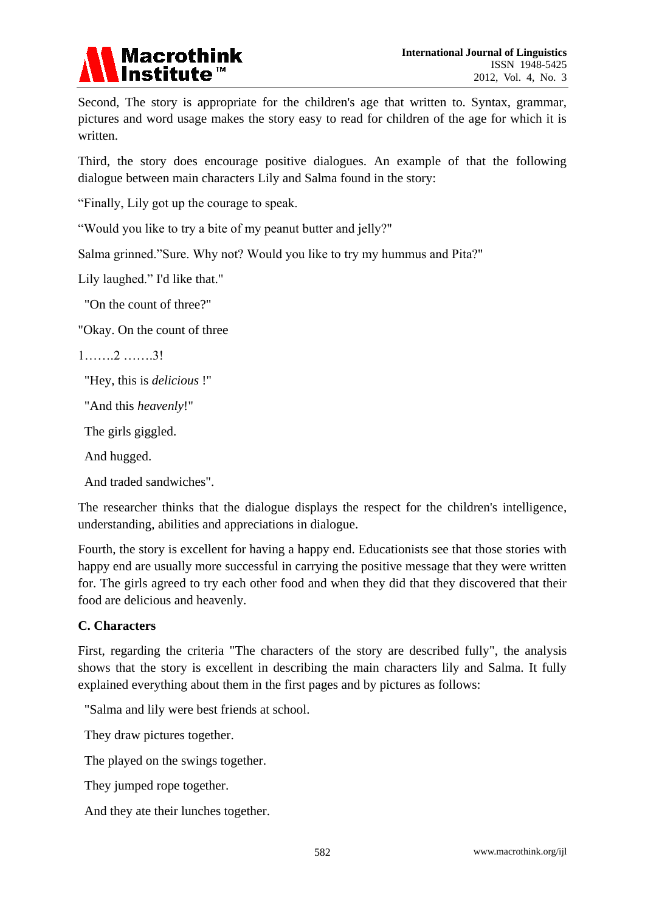

Second, The story is appropriate for the children's age that written to. Syntax, grammar, pictures and word usage makes the story easy to read for children of the age for which it is written.

Third, the story does encourage positive dialogues. An example of that the following dialogue between main characters Lily and Salma found in the story:

"Finally, Lily got up the courage to speak.

"Would you like to try a bite of my peanut butter and jelly?"

Salma grinned."Sure. Why not? Would you like to try my hummus and Pita?"

Lily laughed." I'd like that."

"On the count of three?"

"Okay. On the count of three

1…….2 …….3!

"Hey, this is *delicious* !"

"And this *heavenly*!"

The girls giggled.

And hugged.

And traded sandwiches".

The researcher thinks that the dialogue displays the respect for the children's intelligence, understanding, abilities and appreciations in dialogue.

Fourth, the story is excellent for having a happy end. Educationists see that those stories with happy end are usually more successful in carrying the positive message that they were written for. The girls agreed to try each other food and when they did that they discovered that their food are delicious and heavenly.

#### **C. Characters**

First, regarding the criteria "The characters of the story are described fully", the analysis shows that the story is excellent in describing the main characters lily and Salma. It fully explained everything about them in the first pages and by pictures as follows:

"Salma and lily were best friends at school.

They draw pictures together.

The played on the swings together.

They jumped rope together.

And they ate their lunches together.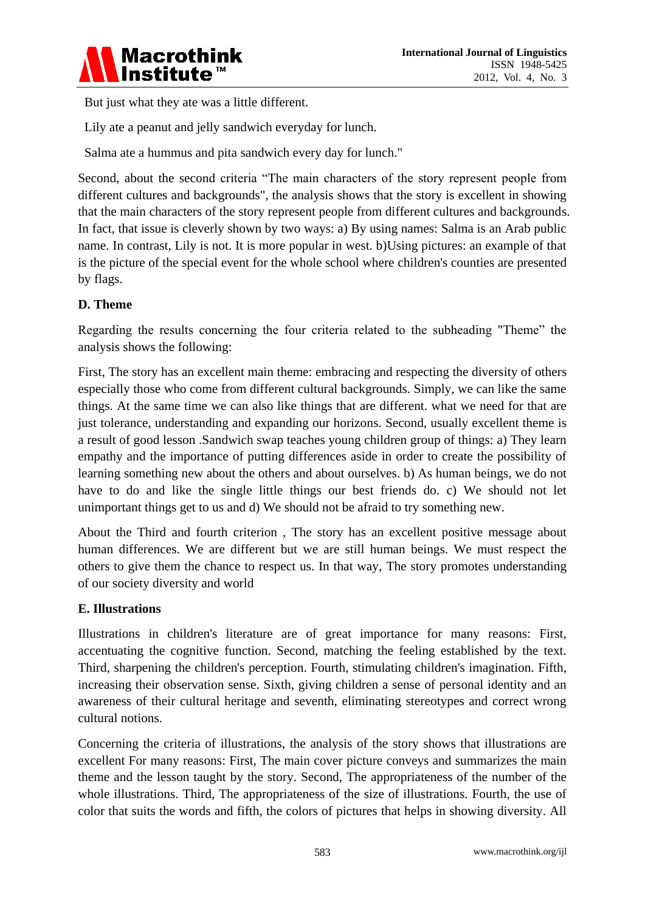

But just what they ate was a little different.

Lily ate a peanut and jelly sandwich everyday for lunch.

Salma ate a hummus and pita sandwich every day for lunch."

Second, about the second criteria "The main characters of the story represent people from different cultures and backgrounds", the analysis shows that the story is excellent in showing that the main characters of the story represent people from different cultures and backgrounds. In fact, that issue is cleverly shown by two ways: a) By using names: Salma is an Arab public name. In contrast, Lily is not. It is more popular in west. b)Using pictures: an example of that is the picture of the special event for the whole school where children's counties are presented by flags.

# **D. Theme**

Regarding the results concerning the four criteria related to the subheading "Theme" the analysis shows the following:

First, The story has an excellent main theme: embracing and respecting the diversity of others especially those who come from different cultural backgrounds. Simply, we can like the same things. At the same time we can also like things that are different. what we need for that are just tolerance, understanding and expanding our horizons. Second, usually excellent theme is a result of good lesson .Sandwich swap teaches young children group of things: a) They learn empathy and the importance of putting differences aside in order to create the possibility of learning something new about the others and about ourselves. b) As human beings, we do not have to do and like the single little things our best friends do. c) We should not let unimportant things get to us and d) We should not be afraid to try something new.

About the Third and fourth criterion , The story has an excellent positive message about human differences. We are different but we are still human beings. We must respect the others to give them the chance to respect us. In that way, The story promotes understanding of our society diversity and world

## **E. Illustrations**

Illustrations in children's literature are of great importance for many reasons: First, accentuating the cognitive function. Second, matching the feeling established by the text. Third, sharpening the children's perception. Fourth, stimulating children's imagination. Fifth, increasing their observation sense. Sixth, giving children a sense of personal identity and an awareness of their cultural heritage and seventh, eliminating stereotypes and correct wrong cultural notions.

Concerning the criteria of illustrations, the analysis of the story shows that illustrations are excellent For many reasons: First, The main cover picture conveys and summarizes the main theme and the lesson taught by the story. Second, The appropriateness of the number of the whole illustrations. Third, The appropriateness of the size of illustrations. Fourth, the use of color that suits the words and fifth, the colors of pictures that helps in showing diversity. All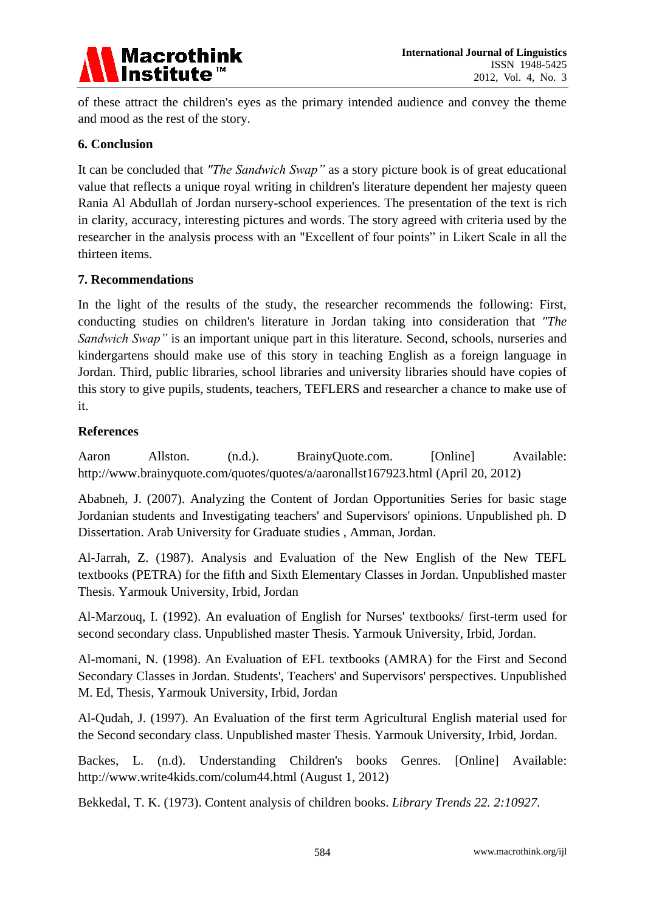

of these attract the children's eyes as the primary intended audience and convey the theme and mood as the rest of the story.

#### **6. Conclusion**

It can be concluded that *"The Sandwich Swap"* as a story picture book is of great educational value that reflects a unique royal writing in children's literature dependent her majesty queen Rania Al Abdullah of Jordan nursery-school experiences. The presentation of the text is rich in clarity, accuracy, interesting pictures and words. The story agreed with criteria used by the researcher in the analysis process with an "Excellent of four points" in Likert Scale in all the thirteen items.

#### **7. Recommendations**

In the light of the results of the study, the researcher recommends the following: First, conducting studies on children's literature in Jordan taking into consideration that *"The Sandwich Swap"* is an important unique part in this literature. Second, schools, nurseries and kindergartens should make use of this story in teaching English as a foreign language in Jordan. Third, public libraries, school libraries and university libraries should have copies of this story to give pupils, students, teachers, TEFLERS and researcher a chance to make use of it.

#### **References**

Aaron Allston. (n.d.). BrainyQuote.com. [Online] Available: http://www.brainyquote.com/quotes/quotes/a/aaronallst167923.html (April 20, 2012)

Ababneh, J. (2007). Analyzing the Content of Jordan Opportunities Series for basic stage Jordanian students and Investigating teachers' and Supervisors' opinions. Unpublished ph. D Dissertation. Arab University for Graduate studies , Amman, Jordan.

Al-Jarrah, Z. (1987). Analysis and Evaluation of the New English of the New TEFL textbooks (PETRA) for the fifth and Sixth Elementary Classes in Jordan. Unpublished master Thesis. Yarmouk University, Irbid, Jordan

Al-Marzouq, I. (1992). An evaluation of English for Nurses' textbooks/ first-term used for second secondary class. Unpublished master Thesis. Yarmouk University, Irbid, Jordan.

Al-momani, N. (1998). An Evaluation of EFL textbooks (AMRA) for the First and Second Secondary Classes in Jordan. Students', Teachers' and Supervisors' perspectives. Unpublished M. Ed, Thesis, Yarmouk University, Irbid, Jordan

Al-Qudah, J. (1997). An Evaluation of the first term Agricultural English material used for the Second secondary class. Unpublished master Thesis. Yarmouk University, Irbid, Jordan.

Backes, L. (n.d). Understanding Children's books Genres. [Online] Available: http://www.write4kids.com/colum44.html (August 1, 2012)

Bekkedal, T. K. (1973). Content analysis of children books. *Library Trends 22. 2:10927.*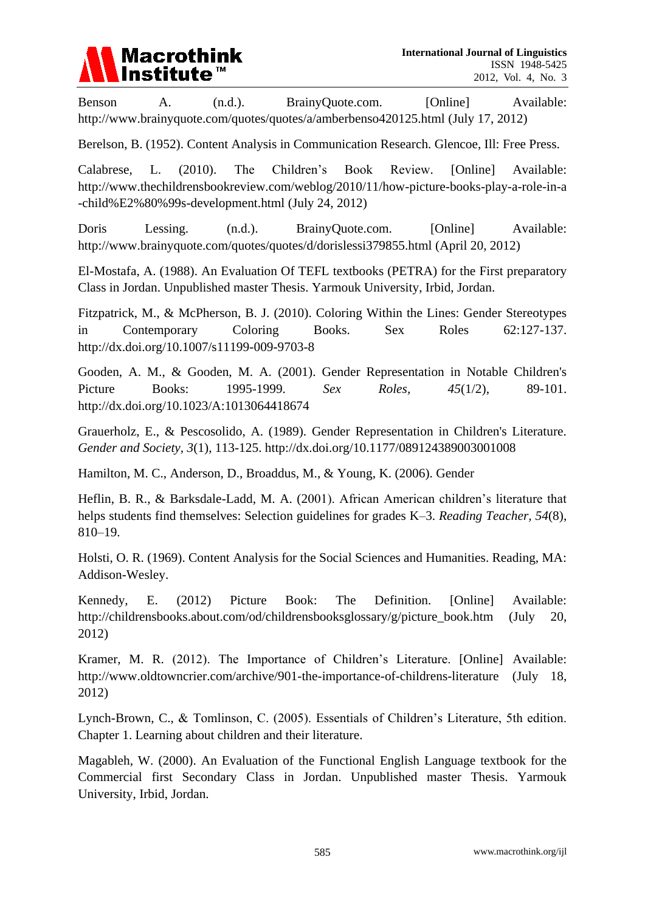

Benson A. (n.d.). BrainyQuote.com. [Online] Available: http://www.brainyquote.com/quotes/quotes/a/amberbenso420125.html (July 17, 2012)

Berelson, B. (1952). Content Analysis in Communication Research. Glencoe, Ill: Free Press.

Calabrese, L. (2010). [The Children's Book Review.](http://www.thechildrensbookreview.com/weblog/2010/weblog/2010/weblog/2010/weblog/2010/weblog/2010/weblog/2010/weblog/2010/weblog/2010/weblog/2010/weblog/2010/weblog/2010/weblog/2010/weblog/2010/weblog/2010/weblog/2010/weblog/2010/weblog/2010/weblog/2010/weblog/2010/weblog/2010/weblog/2010/weblog/2010/weblog/2010/weblog/2010/about) [Online] Available: http://www.thechildrensbookreview.com/weblog/2010/11/how-picture-books-play-a-role-in-a -child%E2%80%99s-development.html (July 24, 2012)

Doris Lessing. (n.d.). BrainyQuote.com. [Online] Available: http://www.brainyquote.com/quotes/quotes/d/dorislessi379855.html (April 20, 2012)

El-Mostafa, A. (1988). An Evaluation Of TEFL textbooks (PETRA) for the First preparatory Class in Jordan. Unpublished master Thesis. Yarmouk University, Irbid, Jordan.

Fitzpatrick, M., & McPherson, B. J. (2010). Coloring Within the Lines: Gender Stereotypes in Contemporary Coloring Books. Sex Roles 62:127-137. http://dx.doi.org/10.1007/s11199-009-9703-8

Gooden, A. M., & Gooden, M. A. (2001). Gender Representation in Notable Children's Picture Books: 1995-1999. *Sex Roles, 45*(1/2), 89-101. http://dx.doi.org/10.1023/A:1013064418674

Grauerholz, E., & Pescosolido, A. (1989). Gender Representation in Children's Literature. *Gender and Society, 3*(1), 113-125. http://dx.doi.org/10.1177/089124389003001008

Hamilton, M. C., Anderson, D., Broaddus, M., & Young, K. (2006). Gender

Heflin, B. R., & Barksdale-Ladd, M. A. (2001). African American children's literature that helps students find themselves: Selection guidelines for grades K–3. *Reading Teacher, 54*(8), 810–19.

Holsti, O. R. (1969). Content Analysis for the Social Sciences and Humanities. Reading, MA: Addison-Wesley.

[Kennedy,](http://childrensbooks.about.com/bio/Elizabeth-Kennedy-5394.htm) E. (2012) Picture Book: The Definition. [Online] Available: http://childrensbooks.about.com/od/childrensbooksglossary/g/picture\_book.htm (July 20, 2012)

Kramer, M. R. (2012). The Importance of Children's Literature. [Online] Available: http://www.oldtowncrier.com/archive/901-the-importance-of-childrens-literature (July 18, 2012)

Lynch-Brown, C., & Tomlinson, C. (2005). Essentials of Children's Literature, 5th edition. Chapter 1. Learning about children and their literature.

Magableh, W. (2000). An Evaluation of the Functional English Language textbook for the Commercial first Secondary Class in Jordan. Unpublished master Thesis. Yarmouk University, Irbid, Jordan.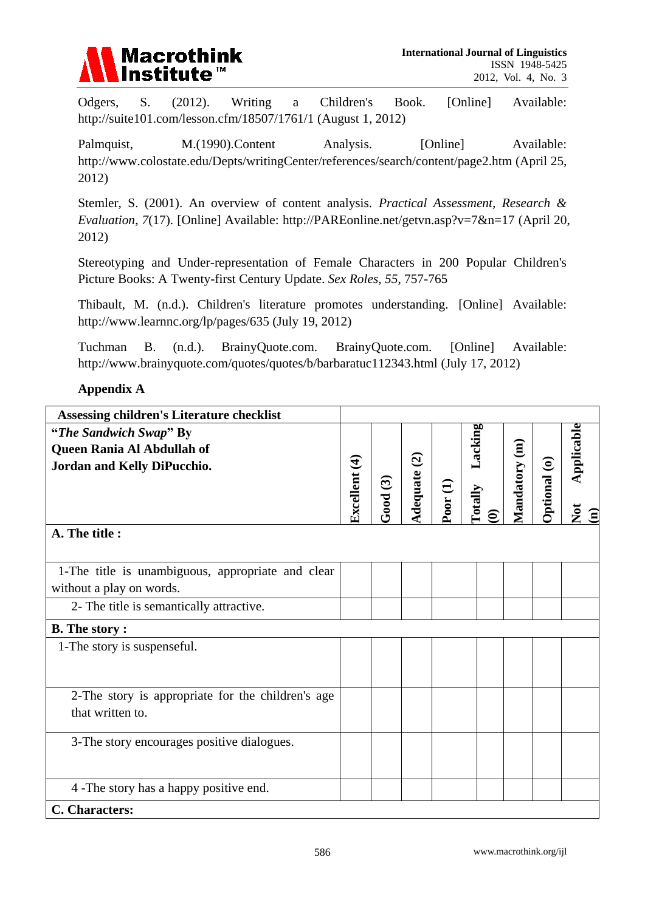

[Odgers,](http://suite101.com/profile.cfm/Sallyodgers) S. (2012). Writing a Children's Book. [Online] Available: http://suite101.com/lesson.cfm/18507/1761/1 (August 1, 2012)

Palmquist, M.(1990).Content Analysis. [Online] Available: http://www.colostate.edu/Depts/writingCenter/references/search/content/page2.htm (April 25, 2012)

Stemler, S. (2001). An overview of content analysis. *Practical Assessment, Research & Evaluation*, *7*(17). [Online] Available: http://PAREonline.net/getvn.asp?v=7&n=17 (April 20, 2012)

Stereotyping and Under-representation of Female Characters in 200 Popular Children's Picture Books: A Twenty-first Century Update. *Sex Roles, 55*, 757-765

Thibault, M. (n.d.). Children's literature promotes understanding. [Online] Available: http://www.learnnc.org/lp/pages/635 (July 19, 2012)

Tuchman B. (n.d.). BrainyQuote.com. BrainyQuote.com. [Online] Available: http://www.brainyquote.com/quotes/quotes/b/barbaratuc112343.html (July 17, 2012)

# **Appendix A**

| <b>Assessing children's Literature checklist</b>  |               |       |              |            |         |               |              |                  |
|---------------------------------------------------|---------------|-------|--------------|------------|---------|---------------|--------------|------------------|
| "The Sandwich Swap" By                            |               |       |              |            |         |               |              |                  |
| Queen Rania Al Abdullah of                        |               |       |              |            | Lacking |               |              | Applicable       |
| Jordan and Kelly DiPucchio.                       |               |       |              |            |         |               |              |                  |
|                                                   |               |       |              |            |         |               |              |                  |
|                                                   | Excellent (4) | 5000C | Adequate (2) | Poor $(1)$ | Totally | Mandatory (m) | Optional (o) |                  |
|                                                   |               |       |              |            | ⊜       |               |              | $\sum_{i=1}^{n}$ |
| A. The title :                                    |               |       |              |            |         |               |              |                  |
|                                                   |               |       |              |            |         |               |              |                  |
| 1-The title is unambiguous, appropriate and clear |               |       |              |            |         |               |              |                  |
| without a play on words.                          |               |       |              |            |         |               |              |                  |
| 2- The title is semantically attractive.          |               |       |              |            |         |               |              |                  |
| <b>B.</b> The story:                              |               |       |              |            |         |               |              |                  |
| 1-The story is suspenseful.                       |               |       |              |            |         |               |              |                  |
|                                                   |               |       |              |            |         |               |              |                  |
|                                                   |               |       |              |            |         |               |              |                  |
| 2-The story is appropriate for the children's age |               |       |              |            |         |               |              |                  |
| that written to.                                  |               |       |              |            |         |               |              |                  |
|                                                   |               |       |              |            |         |               |              |                  |
| 3-The story encourages positive dialogues.        |               |       |              |            |         |               |              |                  |
|                                                   |               |       |              |            |         |               |              |                  |
| 4 -The story has a happy positive end.            |               |       |              |            |         |               |              |                  |
| C. Characters:                                    |               |       |              |            |         |               |              |                  |